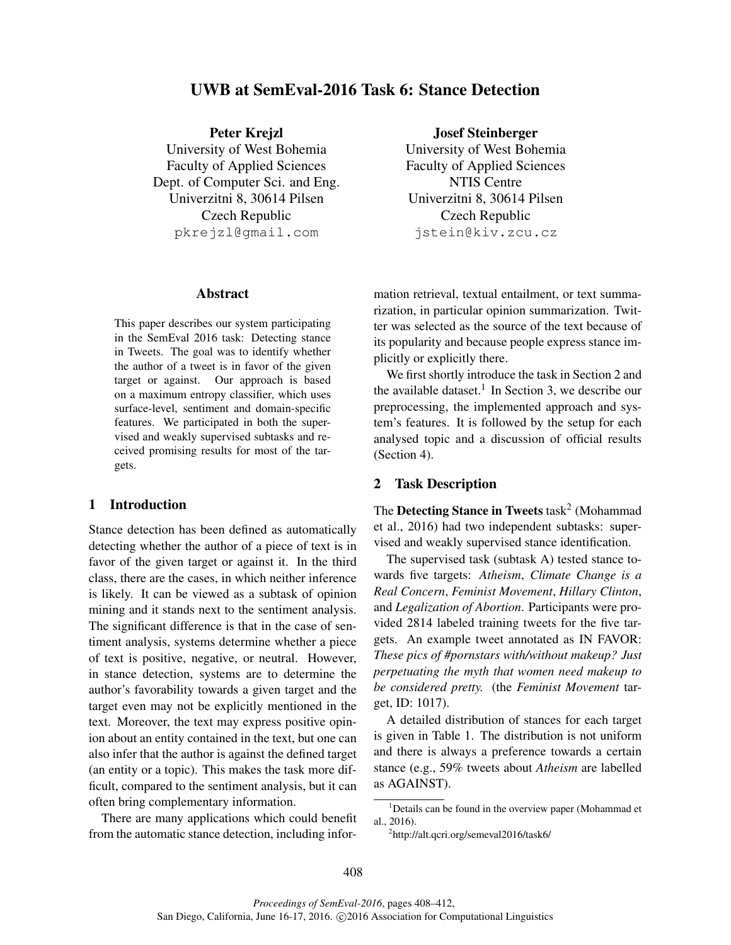# UWB at SemEval-2016 Task 6: Stance Detection

Peter Krejzl

University of West Bohemia Faculty of Applied Sciences Dept. of Computer Sci. and Eng. Univerzitni 8, 30614 Pilsen Czech Republic pkrejzl@gmail.com

#### Abstract

This paper describes our system participating in the SemEval 2016 task: Detecting stance in Tweets. The goal was to identify whether the author of a tweet is in favor of the given target or against. Our approach is based on a maximum entropy classifier, which uses surface-level, sentiment and domain-specific features. We participated in both the supervised and weakly supervised subtasks and received promising results for most of the targets.

## 1 Introduction

Stance detection has been defined as automatically detecting whether the author of a piece of text is in favor of the given target or against it. In the third class, there are the cases, in which neither inference is likely. It can be viewed as a subtask of opinion mining and it stands next to the sentiment analysis. The significant difference is that in the case of sentiment analysis, systems determine whether a piece of text is positive, negative, or neutral. However, in stance detection, systems are to determine the author's favorability towards a given target and the target even may not be explicitly mentioned in the text. Moreover, the text may express positive opinion about an entity contained in the text, but one can also infer that the author is against the defined target (an entity or a topic). This makes the task more difficult, compared to the sentiment analysis, but it can often bring complementary information.

There are many applications which could benefit from the automatic stance detection, including infor-

## Josef Steinberger

University of West Bohemia Faculty of Applied Sciences NTIS Centre Univerzitni 8, 30614 Pilsen Czech Republic jstein@kiv.zcu.cz

mation retrieval, textual entailment, or text summarization, in particular opinion summarization. Twitter was selected as the source of the text because of its popularity and because people express stance implicitly or explicitly there.

We first shortly introduce the task in Section 2 and the available dataset.<sup>1</sup> In Section 3, we describe our preprocessing, the implemented approach and system's features. It is followed by the setup for each analysed topic and a discussion of official results (Section 4).

#### 2 Task Description

The Detecting Stance in Tweets  $\mathrm{task}^2$  (Mohammad et al., 2016) had two independent subtasks: supervised and weakly supervised stance identification.

The supervised task (subtask A) tested stance towards five targets: *Atheism*, *Climate Change is a Real Concern*, *Feminist Movement*, *Hillary Clinton*, and *Legalization of Abortion*. Participants were provided 2814 labeled training tweets for the five targets. An example tweet annotated as IN FAVOR: *These pics of #pornstars with/without makeup? Just perpetuating the myth that women need makeup to be considered pretty.* (the *Feminist Movement* target, ID: 1017).

A detailed distribution of stances for each target is given in Table 1. The distribution is not uniform and there is always a preference towards a certain stance (e.g., 59% tweets about *Atheism* are labelled as AGAINST).

<sup>2</sup>http://alt.qcri.org/semeval2016/task6/

<sup>&</sup>lt;sup>1</sup>Details can be found in the overview paper (Mohammad et al., 2016).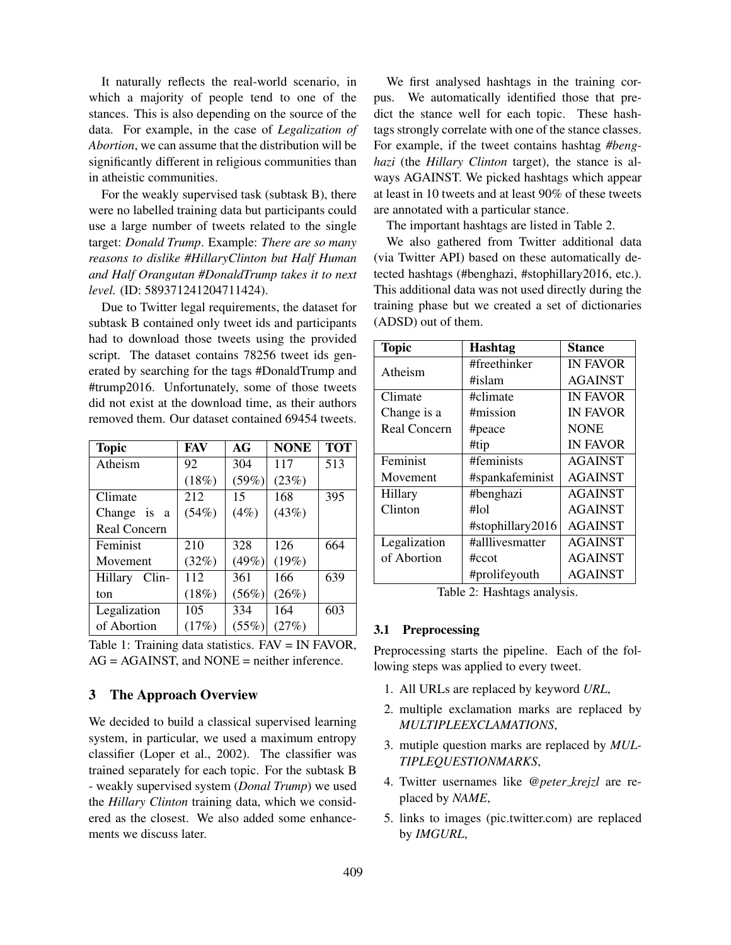It naturally reflects the real-world scenario, in which a majority of people tend to one of the stances. This is also depending on the source of the data. For example, in the case of *Legalization of Abortion*, we can assume that the distribution will be significantly different in religious communities than in atheistic communities.

For the weakly supervised task (subtask B), there were no labelled training data but participants could use a large number of tweets related to the single target: *Donald Trump*. Example: *There are so many reasons to dislike #HillaryClinton but Half Human and Half Orangutan #DonaldTrump takes it to next level.* (ID: 589371241204711424).

Due to Twitter legal requirements, the dataset for subtask B contained only tweet ids and participants had to download those tweets using the provided script. The dataset contains 78256 tweet ids generated by searching for the tags #DonaldTrump and #trump2016. Unfortunately, some of those tweets did not exist at the download time, as their authors removed them. Our dataset contained 69454 tweets.

| <b>Topic</b>        | FAV   | AG    | <b>NONE</b> | <b>TOT</b> |
|---------------------|-------|-------|-------------|------------|
| Atheism             | 92    | 304   | 117         | 513        |
|                     | (18%) | (59%) | (23%)       |            |
| Climate             | 212   | 15    | 168         | 395        |
| Change is a         | (54%) | (4%)  | (43%)       |            |
| <b>Real Concern</b> |       |       |             |            |
| Feminist            | 210   | 328   | 126         | 664        |
| Movement            | (32%) | (49%) | (19%)       |            |
| Hillary<br>$Clin-$  | 112   | 361   | 166         | 639        |
| ton                 | (18%) | (56%) | (26%)       |            |
| Legalization        | 105   | 334   | 164         | 603        |
| of Abortion         | (17%) | (55%) | (27%)       |            |

Table 1: Training data statistics. FAV = IN FAVOR, AG = AGAINST, and NONE = neither inference.

## 3 The Approach Overview

We decided to build a classical supervised learning system, in particular, we used a maximum entropy classifier (Loper et al., 2002). The classifier was trained separately for each topic. For the subtask B - weakly supervised system (*Donal Trump*) we used the *Hillary Clinton* training data, which we considered as the closest. We also added some enhancements we discuss later.

We first analysed hashtags in the training corpus. We automatically identified those that predict the stance well for each topic. These hashtags strongly correlate with one of the stance classes. For example, if the tweet contains hashtag *#benghazi* (the *Hillary Clinton* target), the stance is always AGAINST. We picked hashtags which appear at least in 10 tweets and at least 90% of these tweets are annotated with a particular stance.

The important hashtags are listed in Table 2.

We also gathered from Twitter additional data (via Twitter API) based on these automatically detected hashtags (#benghazi, #stophillary2016, etc.). This additional data was not used directly during the training phase but we created a set of dictionaries (ADSD) out of them.

| <b>Topic</b> | <b>Hashtag</b>   | <b>Stance</b>   |
|--------------|------------------|-----------------|
| Atheism      | #freethinker     | <b>IN FAVOR</b> |
|              | $\#$ islam       | <b>AGAINST</b>  |
| Climate      | #climate         | <b>IN FAVOR</b> |
| Change is a  | #mission         | <b>IN FAVOR</b> |
| Real Concern | #peace           | <b>NONE</b>     |
|              | #tip             | <b>IN FAVOR</b> |
| Feminist     | #feminists       | <b>AGAINST</b>  |
| Movement     | #spankafeminist  | <b>AGAINST</b>  |
| Hillary      | #benghazi        | <b>AGAINST</b>  |
| Clinton      | #lol             | <b>AGAINST</b>  |
|              | #stophillary2016 | <b>AGAINST</b>  |
| Legalization | #alllivesmatter  | <b>AGAINST</b>  |
| of Abortion  | #ccot            | <b>AGAINST</b>  |
|              | #prolifeyouth    | <b>AGAINST</b>  |

Table 2: Hashtags analysis.

## 3.1 Preprocessing

Preprocessing starts the pipeline. Each of the following steps was applied to every tweet.

- 1. All URLs are replaced by keyword *URL*,
- 2. multiple exclamation marks are replaced by *MULTIPLEEXCLAMATIONS*,
- 3. mutiple question marks are replaced by *MUL-TIPLEQUESTIONMARKS*,
- 4. Twitter usernames like *@peter krejzl* are replaced by *NAME*,
- 5. links to images (pic.twitter.com) are replaced by *IMGURL*,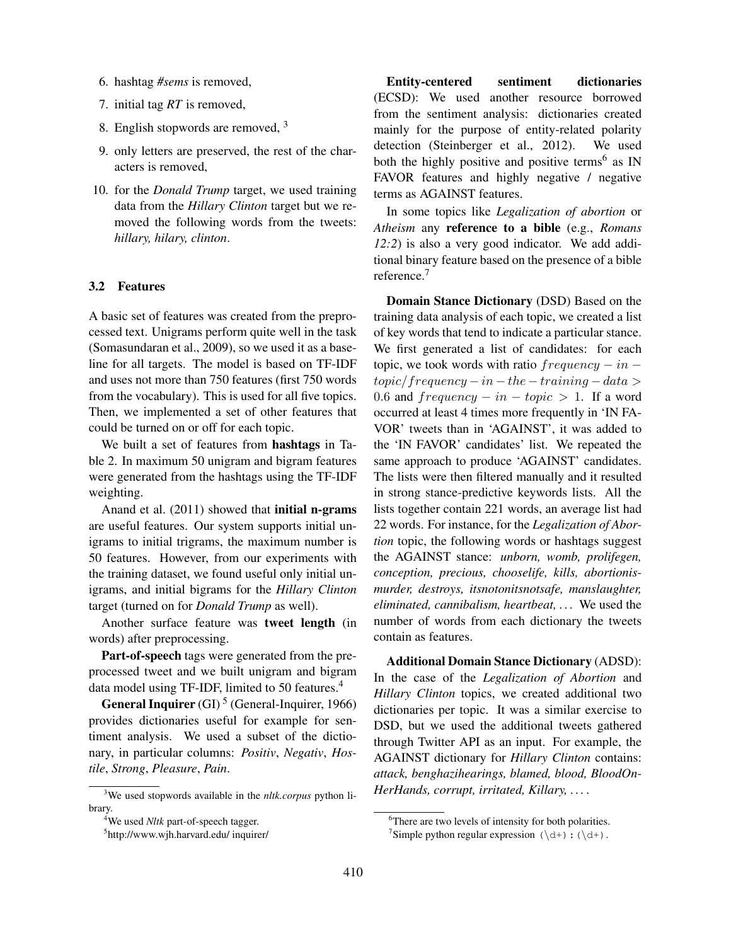- 6. hashtag *#sems* is removed,
- 7. initial tag *RT* is removed,
- 8. English stopwords are removed, <sup>3</sup>
- 9. only letters are preserved, the rest of the characters is removed,
- 10. for the *Donald Trump* target, we used training data from the *Hillary Clinton* target but we removed the following words from the tweets: *hillary, hilary, clinton*.

#### 3.2 Features

A basic set of features was created from the preprocessed text. Unigrams perform quite well in the task (Somasundaran et al., 2009), so we used it as a baseline for all targets. The model is based on TF-IDF and uses not more than 750 features (first 750 words from the vocabulary). This is used for all five topics. Then, we implemented a set of other features that could be turned on or off for each topic.

We built a set of features from hashtags in Table 2. In maximum 50 unigram and bigram features were generated from the hashtags using the TF-IDF weighting.

Anand et al. (2011) showed that initial n-grams are useful features. Our system supports initial unigrams to initial trigrams, the maximum number is 50 features. However, from our experiments with the training dataset, we found useful only initial unigrams, and initial bigrams for the *Hillary Clinton* target (turned on for *Donald Trump* as well).

Another surface feature was tweet length (in words) after preprocessing.

Part-of-speech tags were generated from the preprocessed tweet and we built unigram and bigram data model using TF-IDF, limited to 50 features.<sup>4</sup>

**General Inquirer** (GI)<sup>5</sup> (General-Inquirer, 1966) provides dictionaries useful for example for sentiment analysis. We used a subset of the dictionary, in particular columns: *Positiv*, *Negativ*, *Hostile*, *Strong*, *Pleasure*, *Pain*.

Entity-centered sentiment dictionaries (ECSD): We used another resource borrowed from the sentiment analysis: dictionaries created mainly for the purpose of entity-related polarity detection (Steinberger et al., 2012). We used both the highly positive and positive terms<sup>6</sup> as IN FAVOR features and highly negative / negative terms as AGAINST features.

In some topics like *Legalization of abortion* or *Atheism* any reference to a bible (e.g., *Romans 12:2*) is also a very good indicator. We add additional binary feature based on the presence of a bible reference.<sup>7</sup>

Domain Stance Dictionary (DSD) Based on the training data analysis of each topic, we created a list of key words that tend to indicate a particular stance. We first generated a list of candidates: for each topic, we took words with ratio  $frequency - in$  $topic/frequency - in - the - training - data >$ 0.6 and  $frequency - in - topic > 1$ . If a word occurred at least 4 times more frequently in 'IN FA-VOR' tweets than in 'AGAINST', it was added to the 'IN FAVOR' candidates' list. We repeated the same approach to produce 'AGAINST' candidates. The lists were then filtered manually and it resulted in strong stance-predictive keywords lists. All the lists together contain 221 words, an average list had 22 words. For instance, for the *Legalization of Abortion* topic, the following words or hashtags suggest the AGAINST stance: *unborn, womb, prolifegen, conception, precious, chooselife, kills, abortionismurder, destroys, itsnotonitsnotsafe, manslaughter, eliminated, cannibalism, heartbeat, . . .* We used the number of words from each dictionary the tweets contain as features.

Additional Domain Stance Dictionary (ADSD): In the case of the *Legalization of Abortion* and *Hillary Clinton* topics, we created additional two dictionaries per topic. It was a similar exercise to DSD, but we used the additional tweets gathered through Twitter API as an input. For example, the AGAINST dictionary for *Hillary Clinton* contains: *attack, benghazihearings, blamed, blood, BloodOn-HerHands, corrupt, irritated, Killary, . . .* .

<sup>3</sup>We used stopwords available in the *nltk.corpus* python library.

<sup>4</sup>We used *Nltk* part-of-speech tagger.

<sup>5</sup> http://www.wjh.harvard.edu/ inquirer/

<sup>&</sup>lt;sup>6</sup>There are two levels of intensity for both polarities.

<sup>&</sup>lt;sup>7</sup>Simple python regular expression  $(\dagger) : (\dagger)$ .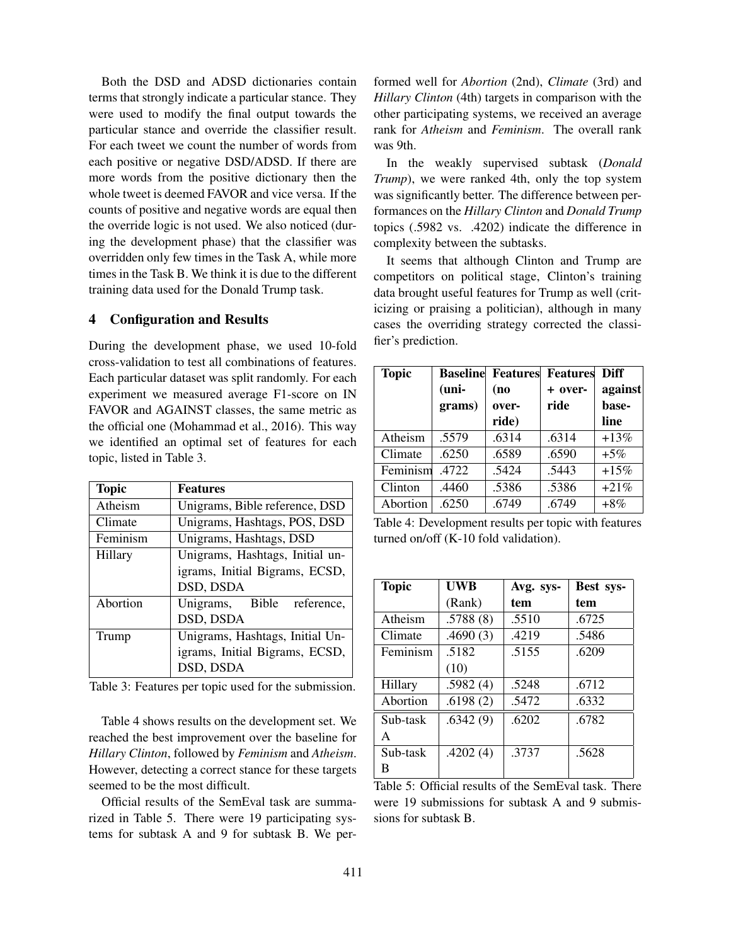Both the DSD and ADSD dictionaries contain terms that strongly indicate a particular stance. They were used to modify the final output towards the particular stance and override the classifier result. For each tweet we count the number of words from each positive or negative DSD/ADSD. If there are more words from the positive dictionary then the whole tweet is deemed FAVOR and vice versa. If the counts of positive and negative words are equal then the override logic is not used. We also noticed (during the development phase) that the classifier was overridden only few times in the Task A, while more times in the Task B. We think it is due to the different training data used for the Donald Trump task.

## 4 Configuration and Results

During the development phase, we used 10-fold cross-validation to test all combinations of features. Each particular dataset was split randomly. For each experiment we measured average F1-score on IN FAVOR and AGAINST classes, the same metric as the official one (Mohammad et al., 2016). This way we identified an optimal set of features for each topic, listed in Table 3.

| <b>Topic</b> | <b>Features</b>                 |  |  |
|--------------|---------------------------------|--|--|
| Atheism      | Unigrams, Bible reference, DSD  |  |  |
| Climate      | Unigrams, Hashtags, POS, DSD    |  |  |
| Feminism     | Unigrams, Hashtags, DSD         |  |  |
| Hillary      | Unigrams, Hashtags, Initial un- |  |  |
|              | igrams, Initial Bigrams, ECSD,  |  |  |
|              | DSD, DSDA                       |  |  |
| Abortion     | Unigrams, Bible reference,      |  |  |
|              | DSD, DSDA                       |  |  |
| Trump        | Unigrams, Hashtags, Initial Un- |  |  |
|              | igrams, Initial Bigrams, ECSD,  |  |  |
|              | DSD, DSDA                       |  |  |

Table 3: Features per topic used for the submission.

Table 4 shows results on the development set. We reached the best improvement over the baseline for *Hillary Clinton*, followed by *Feminism* and *Atheism*. However, detecting a correct stance for these targets seemed to be the most difficult.

Official results of the SemEval task are summarized in Table 5. There were 19 participating systems for subtask A and 9 for subtask B. We performed well for *Abortion* (2nd), *Climate* (3rd) and *Hillary Clinton* (4th) targets in comparison with the other participating systems, we received an average rank for *Atheism* and *Feminism*. The overall rank was 9th.

In the weakly supervised subtask (*Donald Trump*), we were ranked 4th, only the top system was significantly better. The difference between performances on the *Hillary Clinton* and *Donald Trump* topics (.5982 vs. .4202) indicate the difference in complexity between the subtasks.

It seems that although Clinton and Trump are competitors on political stage, Clinton's training data brought useful features for Trump as well (criticizing or praising a politician), although in many cases the overriding strategy corrected the classifier's prediction.

| <b>Topic</b> |         |       | <b>Baseline Features Features Diff</b> |         |
|--------------|---------|-------|----------------------------------------|---------|
|              | $(uni-$ | (no   | $+$ over-                              | against |
|              | grams)  | over- | ride                                   | base-   |
|              |         | ride) |                                        | line    |
| Atheism      | .5579   | .6314 | .6314                                  | $+13%$  |
| Climate      | .6250   | .6589 | .6590                                  | $+5\%$  |
| Feminism     | .4722   | .5424 | .5443                                  | $+15%$  |
| Clinton      | .4460   | .5386 | .5386                                  | $+21%$  |
| Abortion     | .6250   | .6749 | .6749                                  | $+8\%$  |

Table 4: Development results per topic with features turned on/off (K-10 fold validation).

| <b>Topic</b> | UWB      | Avg. sys- | Best sys- |
|--------------|----------|-----------|-----------|
|              | (Rank)   | tem       | tem       |
| Atheism      | .5788(8) | .5510     | .6725     |
| Climate      | .4690(3) | .4219     | .5486     |
| Feminism     | .5182    | .5155     | .6209     |
|              | (10)     |           |           |
| Hillary      | .5982(4) | .5248     | .6712     |
| Abortion     | .6198(2) | .5472     | .6332     |
| Sub-task     | .6342(9) | .6202     | .6782     |
| A            |          |           |           |
| Sub-task     | .4202(4) | .3737     | .5628     |
| В            |          |           |           |

Table 5: Official results of the SemEval task. There were 19 submissions for subtask A and 9 submissions for subtask B.